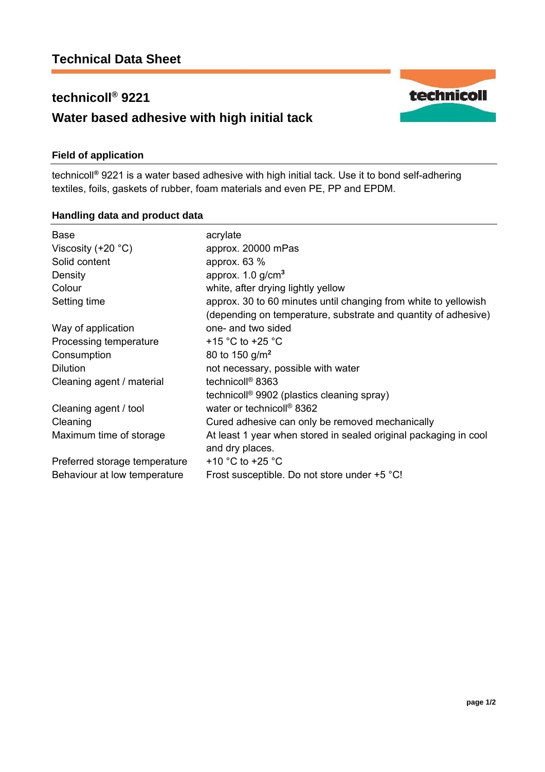## **technicoll® 9221**

# **Water based adhesive with high initial tack**

#### **Field of application**

technicoll**®** 9221 is a water based adhesive with high initial tack. Use it to bond self-adhering textiles, foils, gaskets of rubber, foam materials and even PE, PP and EPDM.

### **Handling data and product data**

| <b>Base</b><br>Viscosity $(+20 °C)$<br>Solid content<br>Density<br>Colour | acrylate<br>approx. 20000 mPas<br>approx. $63\%$<br>approx. $1.0$ g/cm <sup>3</sup><br>white, after drying lightly yellow         |
|---------------------------------------------------------------------------|-----------------------------------------------------------------------------------------------------------------------------------|
| Setting time                                                              | approx. 30 to 60 minutes until changing from white to yellowish<br>(depending on temperature, substrate and quantity of adhesive) |
| Way of application                                                        | one- and two sided                                                                                                                |
| Processing temperature                                                    | +15 °C to +25 °C                                                                                                                  |
| Consumption                                                               | 80 to 150 $g/m2$                                                                                                                  |
| <b>Dilution</b>                                                           | not necessary, possible with water                                                                                                |
| Cleaning agent / material                                                 | technicoll <sup>®</sup> 8363                                                                                                      |
|                                                                           | technicoll <sup>®</sup> 9902 (plastics cleaning spray)                                                                            |
| Cleaning agent / tool                                                     | water or technicoll <sup>®</sup> 8362                                                                                             |
| Cleaning                                                                  | Cured adhesive can only be removed mechanically                                                                                   |
| Maximum time of storage                                                   | At least 1 year when stored in sealed original packaging in cool<br>and dry places.                                               |
| Preferred storage temperature                                             | +10 $^{\circ}$ C to +25 $^{\circ}$ C                                                                                              |
| Behaviour at low temperature                                              | Frost susceptible. Do not store under +5 °C!                                                                                      |